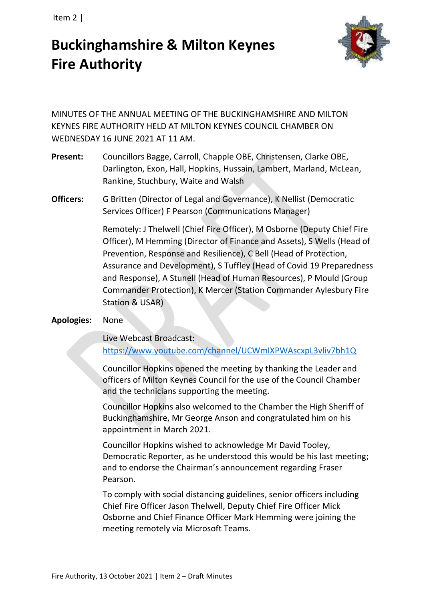Item 2 |

# **Buckinghamshire & Milton Keynes Fire Authority**



MINUTES OF THE ANNUAL MEETING OF THE BUCKINGHAMSHIRE AND MILTON KEYNES FIRE AUTHORITY HELD AT MILTON KEYNES COUNCIL CHAMBER ON WEDNESDAY 16 JUNE 2021 AT 11 AM.

- **Present:** Councillors Bagge, Carroll, Chapple OBE, Christensen, Clarke OBE, Darlington, Exon, Hall, Hopkins, Hussain, Lambert, Marland, McLean, Rankine, Stuchbury, Waite and Walsh
- **Officers:** G Britten (Director of Legal and Governance), K Nellist (Democratic Services Officer) F Pearson (Communications Manager)

Remotely: J Thelwell (Chief Fire Officer), M Osborne (Deputy Chief Fire Officer), M Hemming (Director of Finance and Assets), S Wells (Head of Prevention, Response and Resilience), C Bell (Head of Protection, Assurance and Development), S Tuffley (Head of Covid 19 Preparedness and Response), A Stunell (Head of Human Resources), P Mould (Group Commander Protection), K Mercer (Station Commander Aylesbury Fire Station & USAR)

## **Apologies:** None

Live Webcast Broadcast:

<https://www.youtube.com/channel/UCWmIXPWAscxpL3vliv7bh1Q>

Councillor Hopkins opened the meeting by thanking the Leader and officers of Milton Keynes Council for the use of the Council Chamber and the technicians supporting the meeting.

Councillor Hopkins also welcomed to the Chamber the High Sheriff of Buckinghamshire, Mr George Anson and congratulated him on his appointment in March 2021.

Councillor Hopkins wished to acknowledge Mr David Tooley, Democratic Reporter, as he understood this would be his last meeting; and to endorse the Chairman's announcement regarding Fraser Pearson.

To comply with social distancing guidelines, senior officers including Chief Fire Officer Jason Thelwell, Deputy Chief Fire Officer Mick Osborne and Chief Finance Officer Mark Hemming were joining the meeting remotely via Microsoft Teams.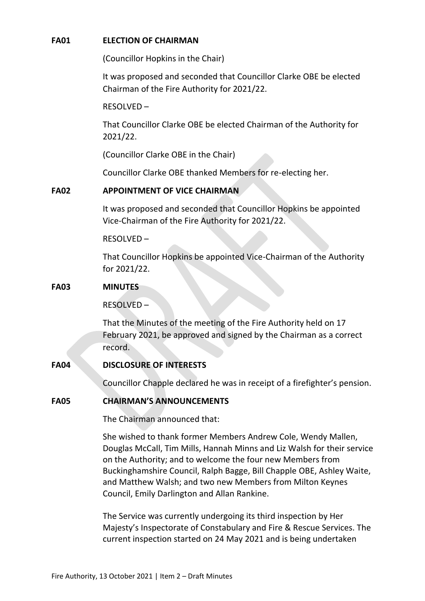#### **FA01 ELECTION OF CHAIRMAN**

(Councillor Hopkins in the Chair)

It was proposed and seconded that Councillor Clarke OBE be elected Chairman of the Fire Authority for 2021/22.

RESOLVED –

That Councillor Clarke OBE be elected Chairman of the Authority for 2021/22.

(Councillor Clarke OBE in the Chair)

Councillor Clarke OBE thanked Members for re-electing her.

## **FA02 APPOINTMENT OF VICE CHAIRMAN**

It was proposed and seconded that Councillor Hopkins be appointed Vice-Chairman of the Fire Authority for 2021/22.

#### RESOLVED –

That Councillor Hopkins be appointed Vice-Chairman of the Authority for 2021/22.

#### **FA03 MINUTES**

RESOLVED –

That the Minutes of the meeting of the Fire Authority held on 17 February 2021, be approved and signed by the Chairman as a correct record.

#### **FA04 DISCLOSURE OF INTERESTS**

Councillor Chapple declared he was in receipt of a firefighter's pension.

## **FA05 CHAIRMAN'S ANNOUNCEMENTS**

The Chairman announced that:

She wished to thank former Members Andrew Cole, Wendy Mallen, Douglas McCall, Tim Mills, Hannah Minns and Liz Walsh for their service on the Authority; and to welcome the four new Members from Buckinghamshire Council, Ralph Bagge, Bill Chapple OBE, Ashley Waite, and Matthew Walsh; and two new Members from Milton Keynes Council, Emily Darlington and Allan Rankine.

The Service was currently undergoing its third inspection by Her Majesty's Inspectorate of Constabulary and Fire & Rescue Services. The current inspection started on 24 May 2021 and is being undertaken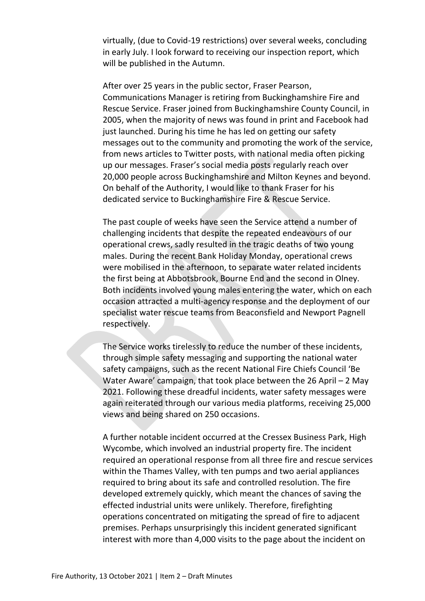virtually, (due to Covid-19 restrictions) over several weeks, concluding in early July. I look forward to receiving our inspection report, which will be published in the Autumn.

After over 25 years in the public sector, Fraser Pearson, Communications Manager is retiring from Buckinghamshire Fire and Rescue Service. Fraser joined from Buckinghamshire County Council, in 2005, when the majority of news was found in print and Facebook had just launched. During his time he has led on getting our safety messages out to the community and promoting the work of the service, from news articles to Twitter posts, with national media often picking up our messages. Fraser's social media posts regularly reach over 20,000 people across Buckinghamshire and Milton Keynes and beyond. On behalf of the Authority, I would like to thank Fraser for his dedicated service to Buckinghamshire Fire & Rescue Service.

The past couple of weeks have seen the Service attend a number of challenging incidents that despite the repeated endeavours of our operational crews, sadly resulted in the tragic deaths of two young males. During the recent Bank Holiday Monday, operational crews were mobilised in the afternoon, to separate water related incidents the first being at Abbotsbrook, Bourne End and the second in Olney. Both incidents involved young males entering the water, which on each occasion attracted a multi-agency response and the deployment of our specialist water rescue teams from Beaconsfield and Newport Pagnell respectively.

The Service works tirelessly to reduce the number of these incidents, through simple safety messaging and supporting the national water safety campaigns, such as the recent National Fire Chiefs Council 'Be Water Aware' campaign, that took place between the 26 April – 2 May 2021. Following these dreadful incidents, water safety messages were again reiterated through our various media platforms, receiving 25,000 views and being shared on 250 occasions.

A further notable incident occurred at the Cressex Business Park, High Wycombe, which involved an industrial property fire. The incident required an operational response from all three fire and rescue services within the Thames Valley, with ten pumps and two aerial appliances required to bring about its safe and controlled resolution. The fire developed extremely quickly, which meant the chances of saving the effected industrial units were unlikely. Therefore, firefighting operations concentrated on mitigating the spread of fire to adjacent premises. Perhaps unsurprisingly this incident generated significant interest with more than 4,000 visits to the page about the incident on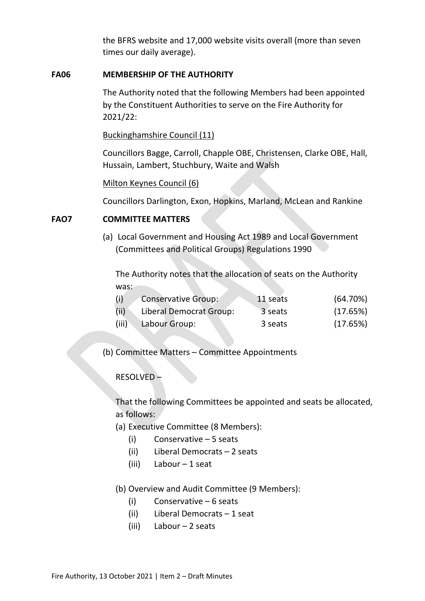the BFRS website and 17,000 website visits overall (more than seven times our daily average).

#### **FA06 MEMBERSHIP OF THE AUTHORITY**

The Authority noted that the following Members had been appointed by the Constituent Authorities to serve on the Fire Authority for 2021/22:

Buckinghamshire Council (11)

Councillors Bagge, Carroll, Chapple OBE, Christensen, Clarke OBE, Hall, Hussain, Lambert, Stuchbury, Waite and Walsh

Milton Keynes Council (6)

Councillors Darlington, Exon, Hopkins, Marland, McLean and Rankine

#### **FAO7 COMMITTEE MATTERS**

(a) Local Government and Housing Act 1989 and Local Government (Committees and Political Groups) Regulations 1990

The Authority notes that the allocation of seats on the Authority was:

| (i)   | <b>Conservative Group:</b> | 11 seats | (64.70%) |
|-------|----------------------------|----------|----------|
| (ii)  | Liberal Democrat Group:    | 3 seats  | (17.65%) |
| (iii) | Labour Group:              | 3 seats  | (17.65%) |

(b) Committee Matters – Committee Appointments

#### RESOLVED –

That the following Committees be appointed and seats be allocated, as follows:

- (a) Executive Committee (8 Members):
	- (i) Conservative 5 seats
	- (ii) Liberal Democrats 2 seats
	- (iii) Labour 1 seat
- (b) Overview and Audit Committee (9 Members):
	- (i) Conservative 6 seats
	- (ii) Liberal Democrats 1 seat
	- (iii) Labour 2 seats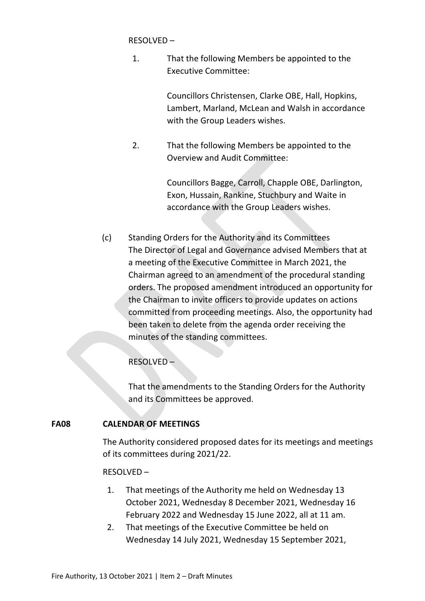RESOLVED –

1. That the following Members be appointed to the Executive Committee:

> Councillors Christensen, Clarke OBE, Hall, Hopkins, Lambert, Marland, McLean and Walsh in accordance with the Group Leaders wishes.

2. That the following Members be appointed to the Overview and Audit Committee:

> Councillors Bagge, Carroll, Chapple OBE, Darlington, Exon, Hussain, Rankine, Stuchbury and Waite in accordance with the Group Leaders wishes.

(c) Standing Orders for the Authority and its Committees The Director of Legal and Governance advised Members that at a meeting of the Executive Committee in March 2021, the Chairman agreed to an amendment of the procedural standing orders. The proposed amendment introduced an opportunity for the Chairman to invite officers to provide updates on actions committed from proceeding meetings. Also, the opportunity had been taken to delete from the agenda order receiving the minutes of the standing committees.

RESOLVED –

That the amendments to the Standing Orders for the Authority and its Committees be approved.

# **FA08 CALENDAR OF MEETINGS**

The Authority considered proposed dates for its meetings and meetings of its committees during 2021/22.

## RESOLVED –

- 1. That meetings of the Authority me held on Wednesday 13 October 2021, Wednesday 8 December 2021, Wednesday 16 February 2022 and Wednesday 15 June 2022, all at 11 am.
- 2. That meetings of the Executive Committee be held on Wednesday 14 July 2021, Wednesday 15 September 2021,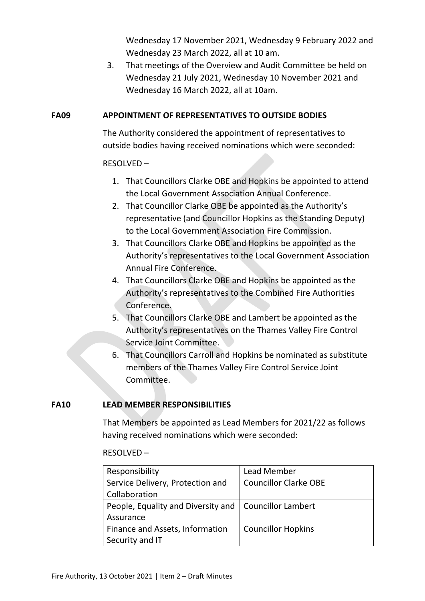Wednesday 17 November 2021, Wednesday 9 February 2022 and Wednesday 23 March 2022, all at 10 am.

3. That meetings of the Overview and Audit Committee be held on Wednesday 21 July 2021, Wednesday 10 November 2021 and Wednesday 16 March 2022, all at 10am.

### **FA09 APPOINTMENT OF REPRESENTATIVES TO OUTSIDE BODIES**

The Authority considered the appointment of representatives to outside bodies having received nominations which were seconded:

## RESOLVED –

- 1. That Councillors Clarke OBE and Hopkins be appointed to attend the Local Government Association Annual Conference.
- 2. That Councillor Clarke OBE be appointed as the Authority's representative (and Councillor Hopkins as the Standing Deputy) to the Local Government Association Fire Commission.
- 3. That Councillors Clarke OBE and Hopkins be appointed as the Authority's representatives to the Local Government Association Annual Fire Conference.
- 4. That Councillors Clarke OBE and Hopkins be appointed as the Authority's representatives to the Combined Fire Authorities Conference.
- 5. That Councillors Clarke OBE and Lambert be appointed as the Authority's representatives on the Thames Valley Fire Control Service Joint Committee.
- 6. That Councillors Carroll and Hopkins be nominated as substitute members of the Thames Valley Fire Control Service Joint Committee.

## **FA10 LEAD MEMBER RESPONSIBILITIES**

That Members be appointed as Lead Members for 2021/22 as follows having received nominations which were seconded:

#### RESOLVED –

| Responsibility                                          | Lead Member                  |  |
|---------------------------------------------------------|------------------------------|--|
| Service Delivery, Protection and                        | <b>Councillor Clarke OBE</b> |  |
| Collaboration                                           |                              |  |
| People, Equality and Diversity and   Councillor Lambert |                              |  |
| Assurance                                               |                              |  |
| Finance and Assets, Information                         | <b>Councillor Hopkins</b>    |  |
| Security and IT                                         |                              |  |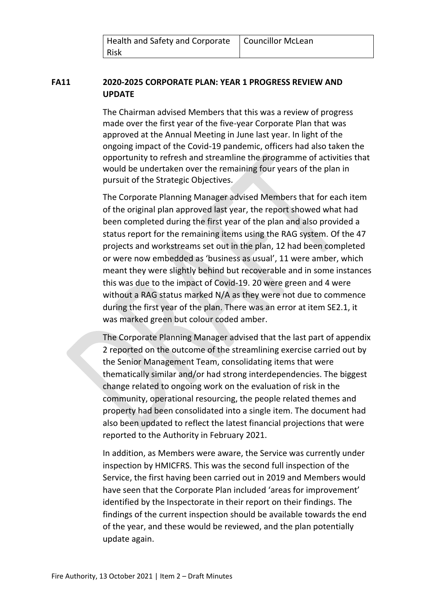| Health and Safety and Corporate   Councillor McLean |  |
|-----------------------------------------------------|--|
| <b>Risk</b>                                         |  |

# **FA11 2020-2025 CORPORATE PLAN: YEAR 1 PROGRESS REVIEW AND UPDATE**

The Chairman advised Members that this was a review of progress made over the first year of the five-year Corporate Plan that was approved at the Annual Meeting in June last year. In light of the ongoing impact of the Covid-19 pandemic, officers had also taken the opportunity to refresh and streamline the programme of activities that would be undertaken over the remaining four years of the plan in pursuit of the Strategic Objectives.

The Corporate Planning Manager advised Members that for each item of the original plan approved last year, the report showed what had been completed during the first year of the plan and also provided a status report for the remaining items using the RAG system. Of the 47 projects and workstreams set out in the plan, 12 had been completed or were now embedded as 'business as usual', 11 were amber, which meant they were slightly behind but recoverable and in some instances this was due to the impact of Covid-19. 20 were green and 4 were without a RAG status marked N/A as they were not due to commence during the first year of the plan. There was an error at item SE2.1, it was marked green but colour coded amber.

The Corporate Planning Manager advised that the last part of appendix 2 reported on the outcome of the streamlining exercise carried out by the Senior Management Team, consolidating items that were thematically similar and/or had strong interdependencies. The biggest change related to ongoing work on the evaluation of risk in the community, operational resourcing, the people related themes and property had been consolidated into a single item. The document had also been updated to reflect the latest financial projections that were reported to the Authority in February 2021.

In addition, as Members were aware, the Service was currently under inspection by HMICFRS. This was the second full inspection of the Service, the first having been carried out in 2019 and Members would have seen that the Corporate Plan included 'areas for improvement' identified by the Inspectorate in their report on their findings. The findings of the current inspection should be available towards the end of the year, and these would be reviewed, and the plan potentially update again.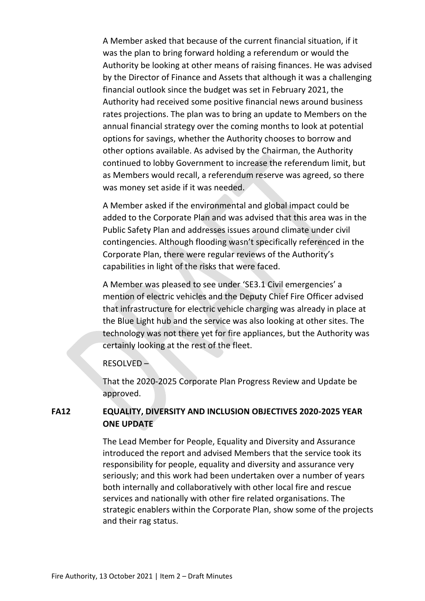A Member asked that because of the current financial situation, if it was the plan to bring forward holding a referendum or would the Authority be looking at other means of raising finances. He was advised by the Director of Finance and Assets that although it was a challenging financial outlook since the budget was set in February 2021, the Authority had received some positive financial news around business rates projections. The plan was to bring an update to Members on the annual financial strategy over the coming months to look at potential options for savings, whether the Authority chooses to borrow and other options available. As advised by the Chairman, the Authority continued to lobby Government to increase the referendum limit, but as Members would recall, a referendum reserve was agreed, so there was money set aside if it was needed.

A Member asked if the environmental and global impact could be added to the Corporate Plan and was advised that this area was in the Public Safety Plan and addresses issues around climate under civil contingencies. Although flooding wasn't specifically referenced in the Corporate Plan, there were regular reviews of the Authority's capabilities in light of the risks that were faced.

A Member was pleased to see under 'SE3.1 Civil emergencies' a mention of electric vehicles and the Deputy Chief Fire Officer advised that infrastructure for electric vehicle charging was already in place at the Blue Light hub and the service was also looking at other sites. The technology was not there yet for fire appliances, but the Authority was certainly looking at the rest of the fleet.

#### RESOLVED –

That the 2020-2025 Corporate Plan Progress Review and Update be approved.

## **FA12 EQUALITY, DIVERSITY AND INCLUSION OBJECTIVES 2020-2025 YEAR ONE UPDATE**

The Lead Member for People, Equality and Diversity and Assurance introduced the report and advised Members that the service took its responsibility for people, equality and diversity and assurance very seriously; and this work had been undertaken over a number of years both internally and collaboratively with other local fire and rescue services and nationally with other fire related organisations. The strategic enablers within the Corporate Plan, show some of the projects and their rag status.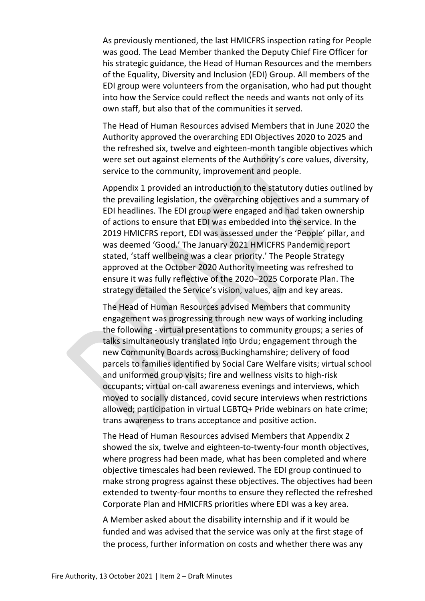As previously mentioned, the last HMICFRS inspection rating for People was good. The Lead Member thanked the Deputy Chief Fire Officer for his strategic guidance, the Head of Human Resources and the members of the Equality, Diversity and Inclusion (EDI) Group. All members of the EDI group were volunteers from the organisation, who had put thought into how the Service could reflect the needs and wants not only of its own staff, but also that of the communities it served.

The Head of Human Resources advised Members that in June 2020 the Authority approved the overarching EDI Objectives 2020 to 2025 and the refreshed six, twelve and eighteen-month tangible objectives which were set out against elements of the Authority's core values, diversity, service to the community, improvement and people.

Appendix 1 provided an introduction to the statutory duties outlined by the prevailing legislation, the overarching objectives and a summary of EDI headlines. The EDI group were engaged and had taken ownership of actions to ensure that EDI was embedded into the service. In the 2019 HMICFRS report, EDI was assessed under the 'People' pillar, and was deemed 'Good.' The January 2021 HMICFRS Pandemic report stated, 'staff wellbeing was a clear priority.' The People Strategy approved at the October 2020 Authority meeting was refreshed to ensure it was fully reflective of the 2020–2025 Corporate Plan. The strategy detailed the Service's vision, values, aim and key areas.

The Head of Human Resources advised Members that community engagement was progressing through new ways of working including the following - virtual presentations to community groups; a series of talks simultaneously translated into Urdu; engagement through the new Community Boards across Buckinghamshire; delivery of food parcels to families identified by Social Care Welfare visits; virtual school and uniformed group visits; fire and wellness visits to high-risk occupants; virtual on-call awareness evenings and interviews, which moved to socially distanced, covid secure interviews when restrictions allowed; participation in virtual LGBTQ+ Pride webinars on hate crime; trans awareness to trans acceptance and positive action.

The Head of Human Resources advised Members that Appendix 2 showed the six, twelve and eighteen-to-twenty-four month objectives, where progress had been made, what has been completed and where objective timescales had been reviewed. The EDI group continued to make strong progress against these objectives. The objectives had been extended to twenty-four months to ensure they reflected the refreshed Corporate Plan and HMICFRS priorities where EDI was a key area.

A Member asked about the disability internship and if it would be funded and was advised that the service was only at the first stage of the process, further information on costs and whether there was any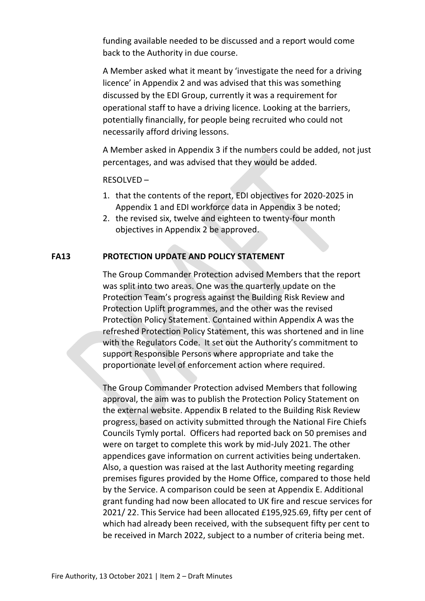funding available needed to be discussed and a report would come back to the Authority in due course.

A Member asked what it meant by 'investigate the need for a driving licence' in Appendix 2 and was advised that this was something discussed by the EDI Group, currently it was a requirement for operational staff to have a driving licence. Looking at the barriers, potentially financially, for people being recruited who could not necessarily afford driving lessons.

A Member asked in Appendix 3 if the numbers could be added, not just percentages, and was advised that they would be added.

#### RESOLVED –

- 1. that the contents of the report, EDI objectives for 2020-2025 in Appendix 1 and EDI workforce data in Appendix 3 be noted;
- 2. the revised six, twelve and eighteen to twenty-four month objectives in Appendix 2 be approved.

## **FA13 PROTECTION UPDATE AND POLICY STATEMENT**

The Group Commander Protection advised Members that the report was split into two areas. One was the quarterly update on the Protection Team's progress against the Building Risk Review and Protection Uplift programmes, and the other was the revised Protection Policy Statement. Contained within Appendix A was the refreshed Protection Policy Statement, this was shortened and in line with the Regulators Code. It set out the Authority's commitment to support Responsible Persons where appropriate and take the proportionate level of enforcement action where required.

The Group Commander Protection advised Members that following approval, the aim was to publish the Protection Policy Statement on the external website. Appendix B related to the Building Risk Review progress, based on activity submitted through the National Fire Chiefs Councils Tymly portal. Officers had reported back on 50 premises and were on target to complete this work by mid-July 2021. The other appendices gave information on current activities being undertaken. Also, a question was raised at the last Authority meeting regarding premises figures provided by the Home Office, compared to those held by the Service. A comparison could be seen at Appendix E. Additional grant funding had now been allocated to UK fire and rescue services for 2021/ 22. This Service had been allocated £195,925.69, fifty per cent of which had already been received, with the subsequent fifty per cent to be received in March 2022, subject to a number of criteria being met.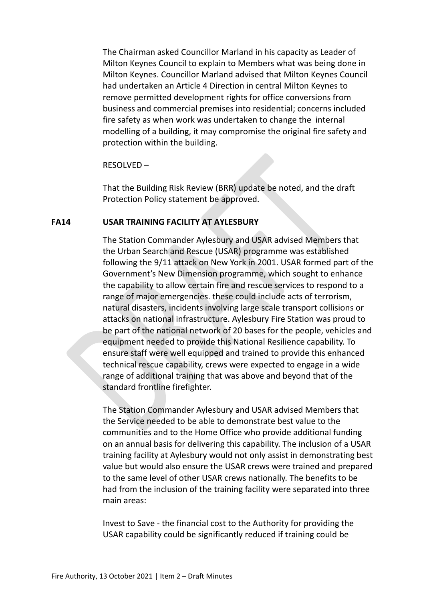The Chairman asked Councillor Marland in his capacity as Leader of Milton Keynes Council to explain to Members what was being done in Milton Keynes. Councillor Marland advised that Milton Keynes Council had undertaken an Article 4 Direction in central Milton Keynes to remove permitted development rights for office conversions from business and commercial premises into residential; concerns included fire safety as when work was undertaken to change the internal modelling of a building, it may compromise the original fire safety and protection within the building.

#### RESOLVED –

That the Building Risk Review (BRR) update be noted, and the draft Protection Policy statement be approved.

#### **FA14 USAR TRAINING FACILITY AT AYLESBURY**

The Station Commander Aylesbury and USAR advised Members that the Urban Search and Rescue (USAR) programme was established following the 9/11 attack on New York in 2001. USAR formed part of the Government's New Dimension programme, which sought to enhance the capability to allow certain fire and rescue services to respond to a range of major emergencies. these could include acts of terrorism, natural disasters, incidents involving large scale transport collisions or attacks on national infrastructure. Aylesbury Fire Station was proud to be part of the national network of 20 bases for the people, vehicles and equipment needed to provide this National Resilience capability. To ensure staff were well equipped and trained to provide this enhanced technical rescue capability, crews were expected to engage in a wide range of additional training that was above and beyond that of the standard frontline firefighter.

The Station Commander Aylesbury and USAR advised Members that the Service needed to be able to demonstrate best value to the communities and to the Home Office who provide additional funding on an annual basis for delivering this capability. The inclusion of a USAR training facility at Aylesbury would not only assist in demonstrating best value but would also ensure the USAR crews were trained and prepared to the same level of other USAR crews nationally. The benefits to be had from the inclusion of the training facility were separated into three main areas:

Invest to Save - the financial cost to the Authority for providing the USAR capability could be significantly reduced if training could be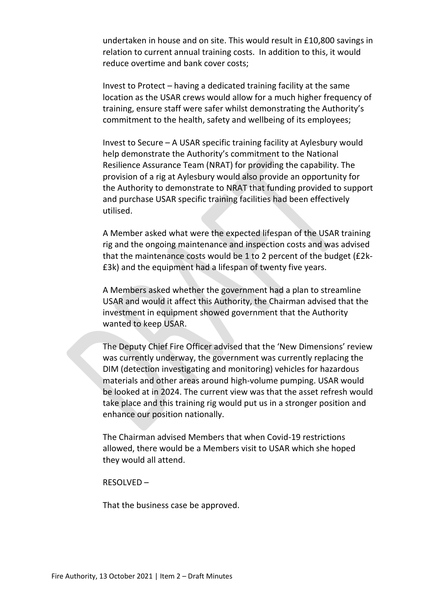undertaken in house and on site. This would result in £10,800 savings in relation to current annual training costs. In addition to this, it would reduce overtime and bank cover costs;

Invest to Protect – having a dedicated training facility at the same location as the USAR crews would allow for a much higher frequency of training, ensure staff were safer whilst demonstrating the Authority's commitment to the health, safety and wellbeing of its employees;

Invest to Secure – A USAR specific training facility at Aylesbury would help demonstrate the Authority's commitment to the National Resilience Assurance Team (NRAT) for providing the capability. The provision of a rig at Aylesbury would also provide an opportunity for the Authority to demonstrate to NRAT that funding provided to support and purchase USAR specific training facilities had been effectively utilised.

A Member asked what were the expected lifespan of the USAR training rig and the ongoing maintenance and inspection costs and was advised that the maintenance costs would be 1 to 2 percent of the budget (£2k- £3k) and the equipment had a lifespan of twenty five years.

A Members asked whether the government had a plan to streamline USAR and would it affect this Authority, the Chairman advised that the investment in equipment showed government that the Authority wanted to keep USAR.

The Deputy Chief Fire Officer advised that the 'New Dimensions' review was currently underway, the government was currently replacing the DIM (detection investigating and monitoring) vehicles for hazardous materials and other areas around high-volume pumping. USAR would be looked at in 2024. The current view was that the asset refresh would take place and this training rig would put us in a stronger position and enhance our position nationally.

The Chairman advised Members that when Covid-19 restrictions allowed, there would be a Members visit to USAR which she hoped they would all attend.

RESOLVED –

That the business case be approved.